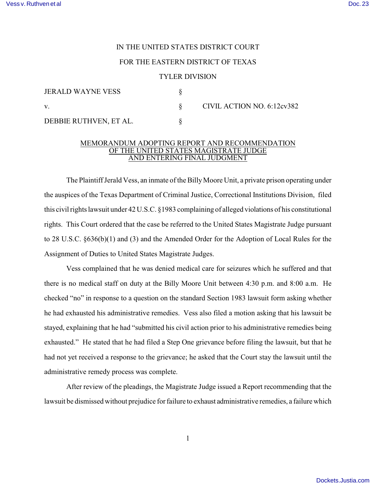## IN THE UNITED STATES DISTRICT COURT

## FOR THE EASTERN DISTRICT OF TEXAS

## TYLER DIVISION

| JERALD WAYNE VESS      |                            |
|------------------------|----------------------------|
| V.                     | CIVIL ACTION NO. 6:12cv382 |
| DEBBIE RUTHVEN, ET AL. |                            |

## MEMORANDUM ADOPTING REPORT AND RECOMMENDATION OF THE UNITED STATES MAGISTRATE JUDGE AND ENTERING FINAL JUDGMENT

The Plaintiff Jerald Vess, an inmate of the Billy Moore Unit, a private prison operating under the auspices of the Texas Department of Criminal Justice, Correctional Institutions Division, filed this civil rights lawsuit under 42 U.S.C. §1983 complaining of alleged violations of his constitutional rights. This Court ordered that the case be referred to the United States Magistrate Judge pursuant to 28 U.S.C. §636(b)(1) and (3) and the Amended Order for the Adoption of Local Rules for the Assignment of Duties to United States Magistrate Judges.

Vess complained that he was denied medical care for seizures which he suffered and that there is no medical staff on duty at the Billy Moore Unit between 4:30 p.m. and 8:00 a.m. He checked "no" in response to a question on the standard Section 1983 lawsuit form asking whether he had exhausted his administrative remedies. Vess also filed a motion asking that his lawsuit be stayed, explaining that he had "submitted his civil action prior to his administrative remedies being exhausted." He stated that he had filed a Step One grievance before filing the lawsuit, but that he had not yet received a response to the grievance; he asked that the Court stay the lawsuit until the administrative remedy process was complete.

After review of the pleadings, the Magistrate Judge issued a Report recommending that the lawsuit be dismissed without prejudice for failure to exhaust administrative remedies, a failure which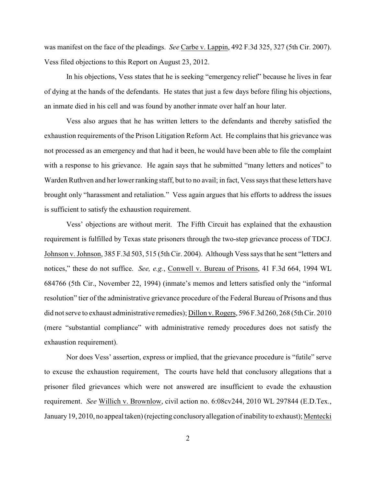was manifest on the face of the pleadings. *See* Carbe v. Lappin, 492 F.3d 325, 327 (5th Cir. 2007). Vess filed objections to this Report on August 23, 2012.

In his objections, Vess states that he is seeking "emergency relief" because he lives in fear of dying at the hands of the defendants. He states that just a few days before filing his objections, an inmate died in his cell and was found by another inmate over half an hour later.

Vess also argues that he has written letters to the defendants and thereby satisfied the exhaustion requirements of the Prison Litigation Reform Act. He complains that his grievance was not processed as an emergency and that had it been, he would have been able to file the complaint with a response to his grievance. He again says that he submitted "many letters and notices" to Warden Ruthven and her lower ranking staff, but to no avail; in fact, Vess says that these letters have brought only "harassment and retaliation." Vess again argues that his efforts to address the issues is sufficient to satisfy the exhaustion requirement.

Vess' objections are without merit. The Fifth Circuit has explained that the exhaustion requirement is fulfilled by Texas state prisoners through the two-step grievance process of TDCJ. Johnson v. Johnson, 385 F.3d 503, 515 (5th Cir. 2004). Although Vess says that he sent "letters and notices," these do not suffice. *See, e.g.*, Conwell v. Bureau of Prisons, 41 F.3d 664, 1994 WL 684766 (5th Cir., November 22, 1994) (inmate's memos and letters satisfied only the "informal resolution" tier of the administrative grievance procedure of the Federal Bureau of Prisons and thus did not serve to exhaust administrative remedies); Dillon v. Rogers, 596 F.3d 260, 268 (5th Cir. 2010 (mere "substantial compliance" with administrative remedy procedures does not satisfy the exhaustion requirement).

Nor does Vess' assertion, express or implied, that the grievance procedure is "futile" serve to excuse the exhaustion requirement, The courts have held that conclusory allegations that a prisoner filed grievances which were not answered are insufficient to evade the exhaustion requirement. *See* Willich v. Brownlow, civil action no. 6:08cv244, 2010 WL 297844 (E.D.Tex., January 19, 2010, no appeal taken) (rejecting conclusory allegation of inability to exhaust); Mentecki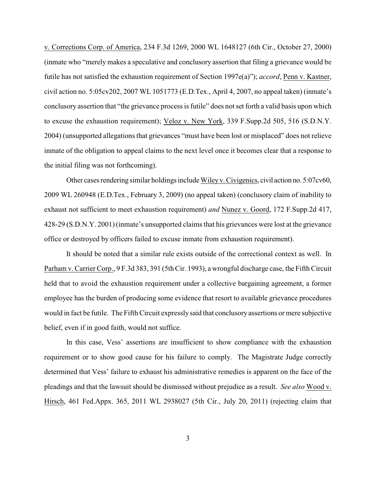v. Corrections Corp. of America, 234 F.3d 1269, 2000 WL 1648127 (6th Cir., October 27, 2000) (inmate who "merely makes a speculative and conclusory assertion that filing a grievance would be futile has not satisfied the exhaustion requirement of Section 1997e(a)"); *accord*, Penn v. Kastner, civil action no. 5:05cv202, 2007 WL 1051773 (E.D.Tex., April 4, 2007, no appeal taken) (inmate's conclusory assertion that "the grievance process is futile" does not set forth a valid basis upon which to excuse the exhaustion requirement); Veloz v. New York, 339 F.Supp.2d 505, 516 (S.D.N.Y. 2004) (unsupported allegations that grievances "must have been lost or misplaced" does not relieve inmate of the obligation to appeal claims to the next level once it becomes clear that a response to the initial filing was not forthcoming).

Other cases rendering similar holdings include Wiley v. Civigenics, civil action no. 5:07cv60, 2009 WL 260948 (E.D.Tex., February 3, 2009) (no appeal taken) (conclusory claim of inability to exhaust not sufficient to meet exhaustion requirement) *and* Nunez v. Goord, 172 F.Supp.2d 417, 428-29 (S.D.N.Y. 2001) (inmate's unsupported claims that his grievances were lost at the grievance office or destroyed by officers failed to excuse inmate from exhaustion requirement).

It should be noted that a similar rule exists outside of the correctional context as well. In Parham v. Carrier Corp., 9 F.3d 383, 391 (5th Cir. 1993), a wrongful discharge case, the Fifth Circuit held that to avoid the exhaustion requirement under a collective bargaining agreement, a former employee has the burden of producing some evidence that resort to available grievance procedures would in fact be futile. The Fifth Circuit expressly said that conclusory assertions or mere subjective belief, even if in good faith, would not suffice.

In this case, Vess' assertions are insufficient to show compliance with the exhaustion requirement or to show good cause for his failure to comply. The Magistrate Judge correctly determined that Vess' failure to exhaust his administrative remedies is apparent on the face of the pleadings and that the lawsuit should be dismissed without prejudice as a result. *See also* Wood v. Hirsch, 461 Fed.Appx. 365, 2011 WL 2938027 (5th Cir., July 20, 2011) (rejecting claim that